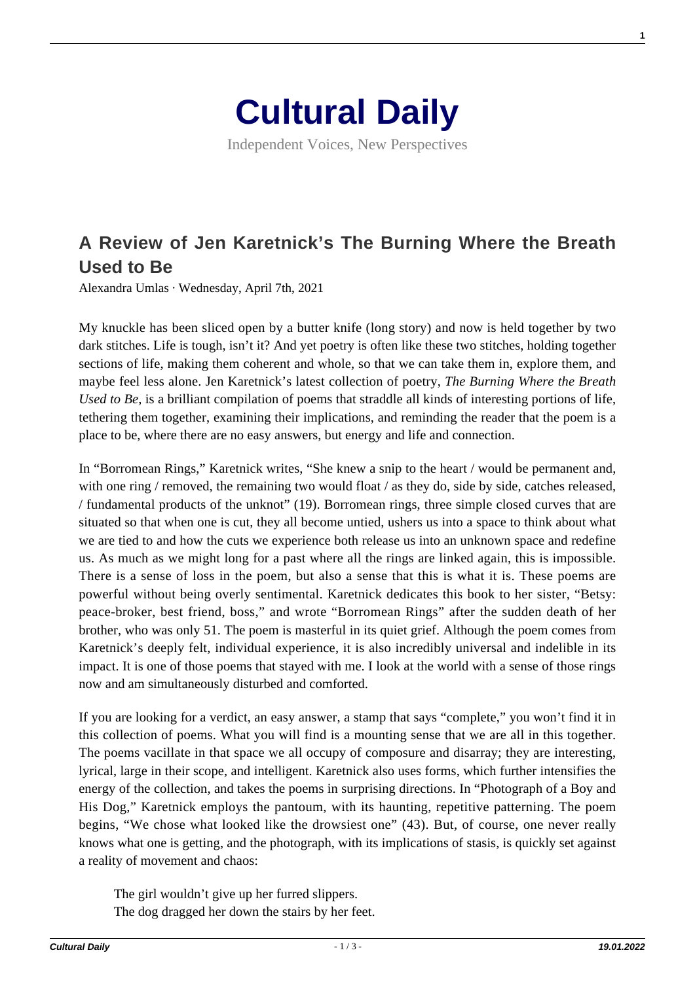

Independent Voices, New Perspectives

## **[A Review of Jen Karetnick's The Burning Where the Breath](https://culturaldaily.com/a-review-of-jen-karetnicks-the-burning-where-the-breath-used-to-be/) [Used to Be](https://culturaldaily.com/a-review-of-jen-karetnicks-the-burning-where-the-breath-used-to-be/)**

Alexandra Umlas · Wednesday, April 7th, 2021

My knuckle has been sliced open by a butter knife (long story) and now is held together by two dark stitches. Life is tough, isn't it? And yet poetry is often like these two stitches, holding together sections of life, making them coherent and whole, so that we can take them in, explore them, and maybe feel less alone. Jen Karetnick's latest collection of poetry, *The Burning Where the Breath Used to Be,* is a brilliant compilation of poems that straddle all kinds of interesting portions of life, tethering them together, examining their implications, and reminding the reader that the poem is a place to be, where there are no easy answers, but energy and life and connection.

In "Borromean Rings," Karetnick writes, "She knew a snip to the heart / would be permanent and, with one ring / removed, the remaining two would float / as they do, side by side, catches released, / fundamental products of the unknot" (19). Borromean rings, three simple closed curves that are situated so that when one is cut, they all become untied, ushers us into a space to think about what we are tied to and how the cuts we experience both release us into an unknown space and redefine us. As much as we might long for a past where all the rings are linked again, this is impossible. There is a sense of loss in the poem, but also a sense that this is what it is. These poems are powerful without being overly sentimental. Karetnick dedicates this book to her sister, "Betsy: peace-broker, best friend, boss," and wrote "Borromean Rings" after the sudden death of her brother, who was only 51. The poem is masterful in its quiet grief. Although the poem comes from Karetnick's deeply felt, individual experience, it is also incredibly universal and indelible in its impact. It is one of those poems that stayed with me. I look at the world with a sense of those rings now and am simultaneously disturbed and comforted.

If you are looking for a verdict, an easy answer, a stamp that says "complete," you won't find it in this collection of poems. What you will find is a mounting sense that we are all in this together. The poems vacillate in that space we all occupy of composure and disarray; they are interesting, lyrical, large in their scope, and intelligent. Karetnick also uses forms, which further intensifies the energy of the collection, and takes the poems in surprising directions. In "Photograph of a Boy and His Dog," Karetnick employs the pantoum, with its haunting, repetitive patterning. The poem begins, "We chose what looked like the drowsiest one" (43). But, of course, one never really knows what one is getting, and the photograph, with its implications of stasis, is quickly set against a reality of movement and chaos:

The girl wouldn't give up her furred slippers. The dog dragged her down the stairs by her feet. **1**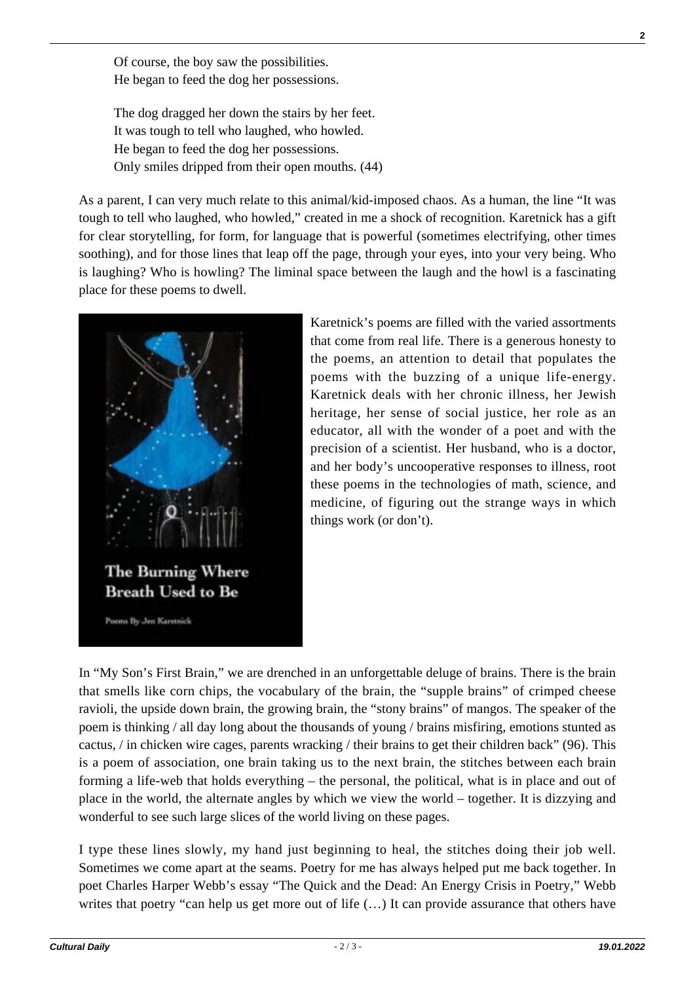Of course, the boy saw the possibilities. He began to feed the dog her possessions.

The dog dragged her down the stairs by her feet. It was tough to tell who laughed, who howled. He began to feed the dog her possessions. Only smiles dripped from their open mouths. (44)

As a parent, I can very much relate to this animal/kid-imposed chaos. As a human, the line "It was tough to tell who laughed, who howled," created in me a shock of recognition. Karetnick has a gift for clear storytelling, for form, for language that is powerful (sometimes electrifying, other times soothing), and for those lines that leap off the page, through your eyes, into your very being. Who is laughing? Who is howling? The liminal space between the laugh and the howl is a fascinating place for these poems to dwell.



Karetnick's poems are filled with the varied assortments that come from real life. There is a generous honesty to the poems, an attention to detail that populates the poems with the buzzing of a unique life-energy. Karetnick deals with her chronic illness, her Jewish heritage, her sense of social justice, her role as an educator, all with the wonder of a poet and with the precision of a scientist. Her husband, who is a doctor, and her body's uncooperative responses to illness, root these poems in the technologies of math, science, and medicine, of figuring out the strange ways in which things work (or don't).

In "My Son's First Brain," we are drenched in an unforgettable deluge of brains. There is the brain that smells like corn chips, the vocabulary of the brain, the "supple brains" of crimped cheese ravioli, the upside down brain, the growing brain, the "stony brains" of mangos. The speaker of the poem is thinking / all day long about the thousands of young / brains misfiring, emotions stunted as cactus, / in chicken wire cages, parents wracking / their brains to get their children back" (96). This is a poem of association, one brain taking us to the next brain, the stitches between each brain forming a life-web that holds everything – the personal, the political, what is in place and out of place in the world, the alternate angles by which we view the world – together. It is dizzying and wonderful to see such large slices of the world living on these pages.

I type these lines slowly, my hand just beginning to heal, the stitches doing their job well. Sometimes we come apart at the seams. Poetry for me has always helped put me back together. In poet Charles Harper Webb's essay "The Quick and the Dead: An Energy Crisis in Poetry," Webb writes that poetry "can help us get more out of life  $(...)$  It can provide assurance that others have